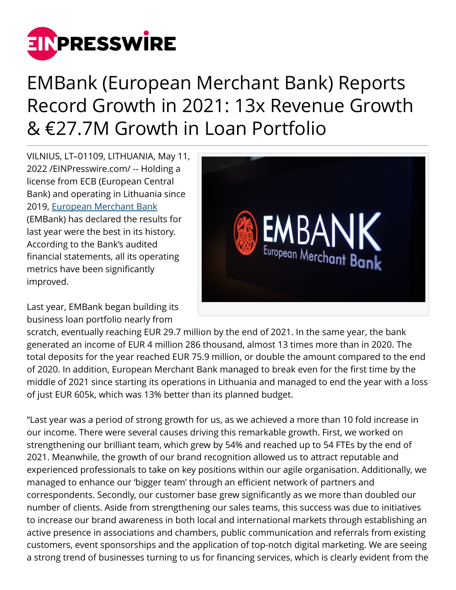

## EMBank (European Merchant Bank) Reports Record Growth in 2021: 13x Revenue Growth & €27.7M Growth in Loan Portfolio

VILNIUS, LT–01109, LITHUANIA, May 11, 2022 /[EINPresswire.com](http://www.einpresswire.com)/ -- Holding a license from ECB (European Central Bank) and operating in Lithuania since 2019, [European Merchant Bank](https://em.bank/) (EMBank) has declared the results for last year were the best in its history. According to the Bank's audited financial statements, all its operating metrics have been significantly improved.

Last year, EMBank began building its business loan portfolio nearly from



scratch, eventually reaching EUR 29.7 million by the end of 2021. In the same year, the bank generated an income of EUR 4 million 286 thousand, almost 13 times more than in 2020. The total deposits for the year reached EUR 75.9 million, or double the amount compared to the end of 2020. In addition, European Merchant Bank managed to break even for the first time by the middle of 2021 since starting its operations in Lithuania and managed to end the year with a loss of just EUR 605k, which was 13% better than its planned budget.

"Last year was a period of strong growth for us, as we achieved a more than 10 fold increase in our income. There were several causes driving this remarkable growth. First, we worked on strengthening our brilliant team, which grew by 54% and reached up to 54 FTEs by the end of 2021. Meanwhile, the growth of our brand recognition allowed us to attract reputable and experienced professionals to take on key positions within our agile organisation. Additionally, we managed to enhance our 'bigger team' through an efficient network of partners and correspondents. Secondly, our customer base grew significantly as we more than doubled our number of clients. Aside from strengthening our sales teams, this success was due to initiatives to increase our brand awareness in both local and international markets through establishing an active presence in associations and chambers, public communication and referrals from existing customers, event sponsorships and the application of top-notch digital marketing. We are seeing a strong trend of businesses turning to us for financing services, which is clearly evident from the